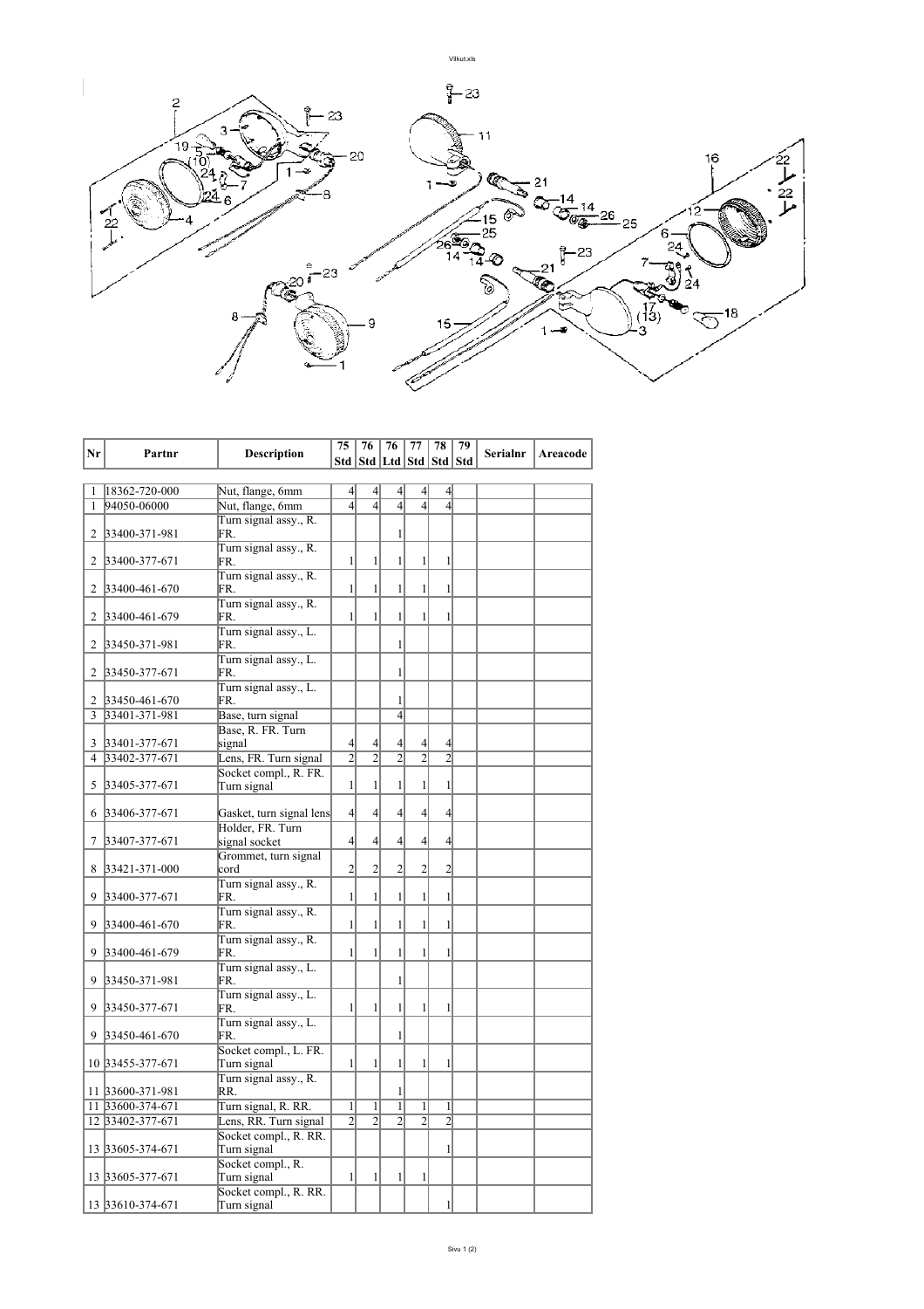

| Nr             | Partnr                       | <b>Description</b>                   | 75             | 76                                | 76             | 77             | 78             | 79 | <b>Serialnr</b> | Areacode |
|----------------|------------------------------|--------------------------------------|----------------|-----------------------------------|----------------|----------------|----------------|----|-----------------|----------|
|                |                              |                                      |                | Std   Std   Ltd   Std   Std   Std |                |                |                |    |                 |          |
| 1              |                              |                                      | $\overline{4}$ | $\left 4\right $                  | 4              | $\overline{4}$ | $\overline{4}$ |    |                 |          |
| 1              | 18362-720-000<br>94050-06000 | Nut, flange, 6mm<br>Nut, flange, 6mm | $\overline{4}$ | $\overline{4}$                    | $\overline{4}$ | $\overline{4}$ | $\overline{4}$ |    |                 |          |
|                |                              | Turn signal assy., R.                |                |                                   |                |                |                |    |                 |          |
| 2              | 33400-371-981                | FR.                                  |                |                                   | $\mathbf{1}$   |                |                |    |                 |          |
|                |                              | Turn signal assy., R.                |                |                                   |                |                |                |    |                 |          |
| 2              | 33400-377-671                | FR.                                  | $\mathbf{1}$   | $\mathbf{1}$                      | $\mathbf{1}$   | $\mathbf{1}$   | 1              |    |                 |          |
| 2              | 33400-461-670                | Turn signal assy., R.<br>FR.         | $\mathbf{1}$   | $\mathbf{1}$                      | $\mathbf{1}$   | $\mathbf{1}$   | $\mathbf{1}$   |    |                 |          |
| 2              | 33400-461-679                | Turn signal assy., R.<br>FR.         | 1              | $\mathbf{1}$                      | 1              | $\mathbf{1}$   | 1              |    |                 |          |
|                |                              | Turn signal assy., L.                |                |                                   |                |                |                |    |                 |          |
| 2              | 33450-371-981                | FR.                                  |                |                                   | $\mathbf{1}$   |                |                |    |                 |          |
|                |                              | Turn signal assy., L.<br>FR.         |                |                                   | $\mathbf{1}$   |                |                |    |                 |          |
| 2              | 33450-377-671                | Turn signal assy., L.                |                |                                   |                |                |                |    |                 |          |
| 2              | 33450-461-670                | FR.                                  |                |                                   | 1              |                |                |    |                 |          |
| 3              | 33401-371-981                | Base, turn signal                    |                |                                   | $\overline{4}$ |                |                |    |                 |          |
|                |                              | Base, R. FR. Turn                    |                |                                   |                |                |                |    |                 |          |
| 3              | 33401-377-671                | signal                               | $\overline{4}$ | $\overline{4}$                    | $\overline{4}$ | $\overline{4}$ | $\overline{4}$ |    |                 |          |
| $\overline{4}$ | 33402-377-671                | Lens, FR. Turn signal                | $\overline{2}$ | $\overline{2}$                    | $\overline{2}$ | $\overline{2}$ | $\overline{2}$ |    |                 |          |
|                |                              | Socket compl., R. FR.                |                |                                   |                |                |                |    |                 |          |
| 5              | 33405-377-671                | Turn signal                          | $\mathbf{1}$   | $\mathbf{1}$                      | $\mathbf{1}$   | $\mathbf{1}$   | 1              |    |                 |          |
| 6              | 33406-377-671                | Gasket, turn signal lens             | $\overline{4}$ | $\left 4\right $                  | $\overline{4}$ | $\overline{4}$ | $\overline{4}$ |    |                 |          |
|                |                              | Holder, FR. Turn                     |                |                                   |                |                |                |    |                 |          |
| 7              | 33407-377-671                | signal socket                        | $\overline{4}$ | $\overline{4}$                    | 4              | $\overline{4}$ | $\overline{4}$ |    |                 |          |
|                |                              | Grommet, turn signal                 |                |                                   |                |                |                |    |                 |          |
| 8              | 33421-371-000                | cord                                 | $\overline{c}$ | $\overline{2}$                    | $\overline{2}$ | $\overline{c}$ | $\overline{c}$ |    |                 |          |
| 9              | 33400-377-671                | Turn signal assy., R.<br>FR.         | $\mathbf{1}$   | $\mathbf{1}$                      | $\mathbf{1}$   | $\mathbf{1}$   | $\mathbf{1}$   |    |                 |          |
|                |                              | Turn signal assy., R.                |                |                                   |                |                |                |    |                 |          |
| 9              | 33400-461-670                | FR.                                  | $\mathbf{1}$   | $\mathbf{1}$                      | $\mathbf{1}$   | $\mathbf{1}$   | $\mathbf{1}$   |    |                 |          |
|                |                              | Turn signal assy., R.                |                |                                   |                |                |                |    |                 |          |
| 9              | 33400-461-679                | FR.                                  | 1              | $\mathbf{1}$                      | $\mathbf{1}$   | $\mathbf{1}$   | 1              |    |                 |          |
| 9              | 33450-371-981                | Turn signal assy., L.<br>FR.         |                |                                   | 1              |                |                |    |                 |          |
|                |                              | Turn signal assy., L.                |                |                                   |                |                |                |    |                 |          |
| 9              | 33450-377-671                | FR.                                  | $\mathbf{1}$   | $\mathbf{1}$                      | $\mathbf{1}$   | $\mathbf{1}$   | 1              |    |                 |          |
|                |                              | Turn signal assy., L.                |                |                                   |                |                |                |    |                 |          |
| 9              | 33450-461-670                | FR.                                  |                |                                   | $\mathbf{1}$   |                |                |    |                 |          |
|                | 10 33455-377-671             | Socket compl., L. FR.<br>Turn signal | 1              | $\mathbf{1}$                      | 1              | $\mathbf{1}$   | 1              |    |                 |          |
|                |                              | Turn signal assy., R.                |                |                                   |                |                |                |    |                 |          |
|                | 11 33600-371-981             | RR.                                  |                |                                   | $\mathbf{1}$   |                |                |    |                 |          |
|                | 11 33600-374-671             | Turn signal, R. RR.                  | $\mathbf{1}$   | $\mathbf{1}$                      | $\mathbf{1}$   | $\mathbf{1}$   | 1              |    |                 |          |
|                | 12 33402-377-671             | Lens, RR. Turn signal                | $\overline{2}$ | $\overline{2}$                    | $\overline{2}$ | $\overline{2}$ | $\overline{2}$ |    |                 |          |
|                |                              | Socket compl., R. RR.                |                |                                   |                |                |                |    |                 |          |
|                | 13 33605-374-671             | Turn signal                          |                |                                   |                |                | 1              |    |                 |          |
|                |                              | Socket compl., R.                    |                |                                   |                |                |                |    |                 |          |
|                | 13 33605-377-671             | Turn signal                          | $\mathbf{1}$   | $\mathbf{1}$                      | $\mathbf{1}$   | $\mathbf{1}$   |                |    |                 |          |
|                | 13 33610-374-671             | Socket compl., R. RR.                |                |                                   |                |                | 1              |    |                 |          |
|                |                              | Turn signal                          |                |                                   |                |                |                |    |                 |          |